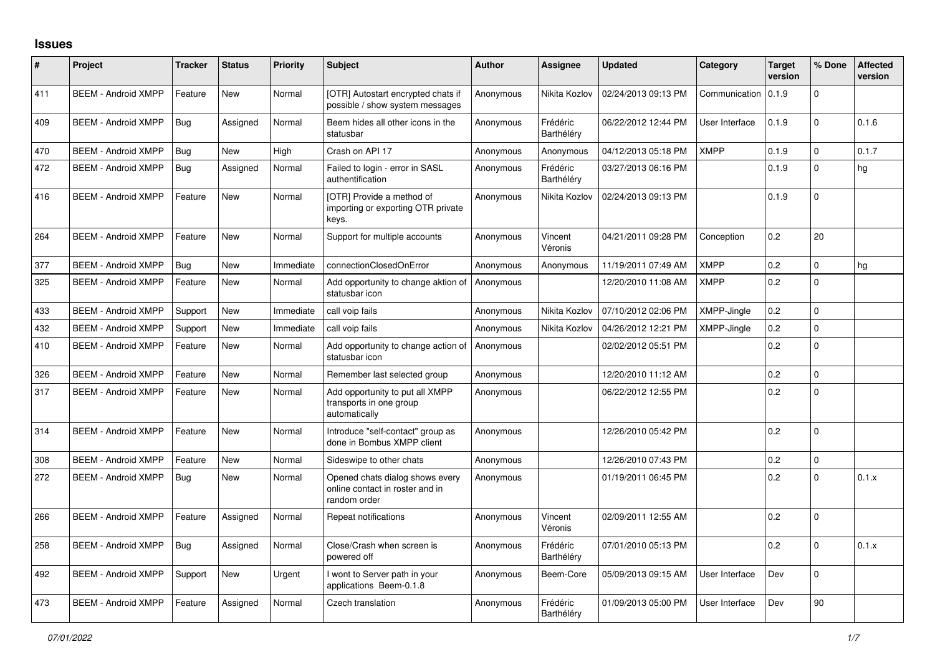## **Issues**

| #   | Project                    | <b>Tracker</b> | <b>Status</b> | <b>Priority</b> | <b>Subject</b>                                                                     | <b>Author</b> | Assignee               | <b>Updated</b>      | Category       | <b>Target</b><br>version | % Done       | <b>Affected</b><br>version |
|-----|----------------------------|----------------|---------------|-----------------|------------------------------------------------------------------------------------|---------------|------------------------|---------------------|----------------|--------------------------|--------------|----------------------------|
| 411 | <b>BEEM - Android XMPP</b> | Feature        | <b>New</b>    | Normal          | [OTR] Autostart encrypted chats if<br>possible / show system messages              | Anonymous     | Nikita Kozlov          | 02/24/2013 09:13 PM | Communication  | 0.1.9                    | $\Omega$     |                            |
| 409 | <b>BEEM - Android XMPP</b> | Bug            | Assigned      | Normal          | Beem hides all other icons in the<br>statusbar                                     | Anonymous     | Frédéric<br>Barthéléry | 06/22/2012 12:44 PM | User Interface | 0.1.9                    | $\mathbf 0$  | 0.1.6                      |
| 470 | <b>BEEM - Android XMPP</b> | <b>Bug</b>     | <b>New</b>    | High            | Crash on API 17                                                                    | Anonymous     | Anonymous              | 04/12/2013 05:18 PM | <b>XMPP</b>    | 0.1.9                    | $\Omega$     | 0.1.7                      |
| 472 | <b>BEEM - Android XMPP</b> | <b>Bug</b>     | Assigned      | Normal          | Failed to login - error in SASL<br>authentification                                | Anonymous     | Frédéric<br>Barthéléry | 03/27/2013 06:16 PM |                | 0.1.9                    | $\Omega$     | hg                         |
| 416 | <b>BEEM - Android XMPP</b> | Feature        | <b>New</b>    | Normal          | [OTR] Provide a method of<br>importing or exporting OTR private<br>keys.           | Anonymous     | Nikita Kozlov          | 02/24/2013 09:13 PM |                | 0.1.9                    | $\Omega$     |                            |
| 264 | <b>BEEM - Android XMPP</b> | Feature        | <b>New</b>    | Normal          | Support for multiple accounts                                                      | Anonymous     | Vincent<br>Véronis     | 04/21/2011 09:28 PM | Conception     | 0.2                      | 20           |                            |
| 377 | <b>BEEM - Android XMPP</b> | <b>Bug</b>     | <b>New</b>    | Immediate       | connectionClosedOnError                                                            | Anonymous     | Anonymous              | 11/19/2011 07:49 AM | <b>XMPP</b>    | 0.2                      | $\mathbf 0$  | hg                         |
| 325 | <b>BEEM - Android XMPP</b> | Feature        | New           | Normal          | Add opportunity to change aktion of<br>statusbar icon                              | Anonymous     |                        | 12/20/2010 11:08 AM | <b>XMPP</b>    | 0.2                      | $\Omega$     |                            |
| 433 | <b>BEEM - Android XMPP</b> | Support        | <b>New</b>    | Immediate       | call voip fails                                                                    | Anonymous     | Nikita Kozlov          | 07/10/2012 02:06 PM | XMPP-Jingle    | 0.2                      | $\Omega$     |                            |
| 432 | <b>BEEM - Android XMPP</b> | Support        | <b>New</b>    | Immediate       | call voip fails                                                                    | Anonymous     | Nikita Kozlov          | 04/26/2012 12:21 PM | XMPP-Jingle    | 0.2                      | $\mathbf 0$  |                            |
| 410 | <b>BEEM - Android XMPP</b> | Feature        | New           | Normal          | Add opportunity to change action of<br>statusbar icon                              | Anonymous     |                        | 02/02/2012 05:51 PM |                | 0.2                      | $\mathbf 0$  |                            |
| 326 | <b>BEEM - Android XMPP</b> | Feature        | <b>New</b>    | Normal          | Remember last selected group                                                       | Anonymous     |                        | 12/20/2010 11:12 AM |                | 0.2                      | $\Omega$     |                            |
| 317 | <b>BEEM - Android XMPP</b> | Feature        | <b>New</b>    | Normal          | Add opportunity to put all XMPP<br>transports in one group<br>automatically        | Anonymous     |                        | 06/22/2012 12:55 PM |                | 0.2                      | $\Omega$     |                            |
| 314 | <b>BEEM - Android XMPP</b> | Feature        | <b>New</b>    | Normal          | Introduce "self-contact" group as<br>done in Bombus XMPP client                    | Anonymous     |                        | 12/26/2010 05:42 PM |                | 0.2                      | $\Omega$     |                            |
| 308 | <b>BEEM - Android XMPP</b> | Feature        | <b>New</b>    | Normal          | Sideswipe to other chats                                                           | Anonymous     |                        | 12/26/2010 07:43 PM |                | 0.2                      | $\mathbf 0$  |                            |
| 272 | <b>BEEM - Android XMPP</b> | Bug            | New           | Normal          | Opened chats dialog shows every<br>online contact in roster and in<br>random order | Anonymous     |                        | 01/19/2011 06:45 PM |                | 0.2                      | $\Omega$     | 0.1.x                      |
| 266 | <b>BEEM - Android XMPP</b> | Feature        | Assigned      | Normal          | Repeat notifications                                                               | Anonymous     | Vincent<br>Véronis     | 02/09/2011 12:55 AM |                | 0.2                      | $\Omega$     |                            |
| 258 | <b>BEEM - Android XMPP</b> | Bug            | Assigned      | Normal          | Close/Crash when screen is<br>powered off                                          | Anonymous     | Frédéric<br>Barthéléry | 07/01/2010 05:13 PM |                | 0.2                      | $\Omega$     | 0.1.x                      |
| 492 | <b>BEEM - Android XMPP</b> | Support        | <b>New</b>    | Urgent          | I wont to Server path in your<br>applications Beem-0.1.8                           | Anonymous     | Beem-Core              | 05/09/2013 09:15 AM | User Interface | Dev                      | $\mathbf{0}$ |                            |
| 473 | <b>BEEM - Android XMPP</b> | Feature        | Assigned      | Normal          | Czech translation                                                                  | Anonymous     | Frédéric<br>Barthéléry | 01/09/2013 05:00 PM | User Interface | Dev                      | 90           |                            |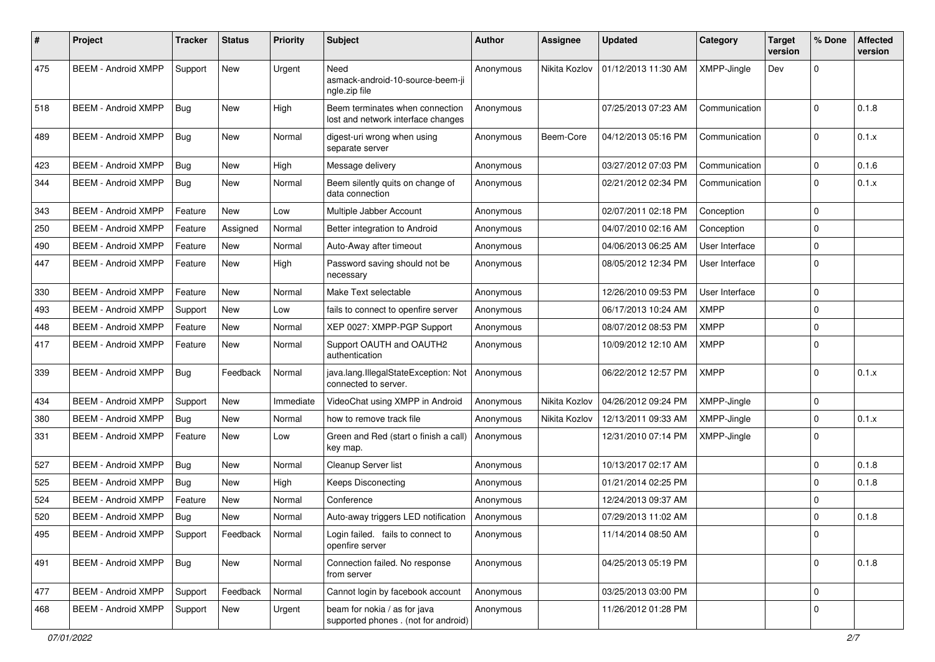| #   | Project                    | <b>Tracker</b> | <b>Status</b> | <b>Priority</b> | Subject                                                               | <b>Author</b> | <b>Assignee</b> | <b>Updated</b>      | Category       | <b>Target</b><br>version | % Done      | <b>Affected</b><br>version |
|-----|----------------------------|----------------|---------------|-----------------|-----------------------------------------------------------------------|---------------|-----------------|---------------------|----------------|--------------------------|-------------|----------------------------|
| 475 | <b>BEEM - Android XMPP</b> | Support        | <b>New</b>    | Urgent          | Need<br>asmack-android-10-source-beem-ji<br>ngle.zip file             | Anonymous     | Nikita Kozlov   | 01/12/2013 11:30 AM | XMPP-Jingle    | Dev                      | $\mathbf 0$ |                            |
| 518 | <b>BEEM - Android XMPP</b> | Bug            | New           | High            | Beem terminates when connection<br>lost and network interface changes | Anonymous     |                 | 07/25/2013 07:23 AM | Communication  |                          | $\Omega$    | 0.1.8                      |
| 489 | <b>BEEM - Android XMPP</b> | <b>Bug</b>     | New           | Normal          | digest-uri wrong when using<br>separate server                        | Anonymous     | Beem-Core       | 04/12/2013 05:16 PM | Communication  |                          | $\Omega$    | 0.1.x                      |
| 423 | <b>BEEM - Android XMPP</b> | Bug            | New           | High            | Message delivery                                                      | Anonymous     |                 | 03/27/2012 07:03 PM | Communication  |                          | $\mathbf 0$ | 0.1.6                      |
| 344 | <b>BEEM - Android XMPP</b> | <b>Bug</b>     | New           | Normal          | Beem silently quits on change of<br>data connection                   | Anonymous     |                 | 02/21/2012 02:34 PM | Communication  |                          | $\Omega$    | 0.1.x                      |
| 343 | <b>BEEM - Android XMPP</b> | Feature        | <b>New</b>    | Low             | Multiple Jabber Account                                               | Anonymous     |                 | 02/07/2011 02:18 PM | Conception     |                          | $\Omega$    |                            |
| 250 | <b>BEEM - Android XMPP</b> | Feature        | Assigned      | Normal          | Better integration to Android                                         | Anonymous     |                 | 04/07/2010 02:16 AM | Conception     |                          | $\mathbf 0$ |                            |
| 490 | <b>BEEM - Android XMPP</b> | Feature        | <b>New</b>    | Normal          | Auto-Away after timeout                                               | Anonymous     |                 | 04/06/2013 06:25 AM | User Interface |                          | $\mathbf 0$ |                            |
| 447 | <b>BEEM - Android XMPP</b> | Feature        | New           | High            | Password saving should not be<br>necessary                            | Anonymous     |                 | 08/05/2012 12:34 PM | User Interface |                          | $\Omega$    |                            |
| 330 | <b>BEEM - Android XMPP</b> | Feature        | <b>New</b>    | Normal          | Make Text selectable                                                  | Anonymous     |                 | 12/26/2010 09:53 PM | User Interface |                          | $\mathbf 0$ |                            |
| 493 | <b>BEEM - Android XMPP</b> | Support        | New           | Low             | fails to connect to openfire server                                   | Anonymous     |                 | 06/17/2013 10:24 AM | <b>XMPP</b>    |                          | $\mathbf 0$ |                            |
| 448 | <b>BEEM - Android XMPP</b> | Feature        | New           | Normal          | XEP 0027: XMPP-PGP Support                                            | Anonymous     |                 | 08/07/2012 08:53 PM | <b>XMPP</b>    |                          | $\mathbf 0$ |                            |
| 417 | <b>BEEM - Android XMPP</b> | Feature        | New           | Normal          | Support OAUTH and OAUTH2<br>authentication                            | Anonymous     |                 | 10/09/2012 12:10 AM | <b>XMPP</b>    |                          | $\Omega$    |                            |
| 339 | <b>BEEM - Android XMPP</b> | Bug            | Feedback      | Normal          | java.lang.IllegalStateException: Not<br>connected to server.          | Anonymous     |                 | 06/22/2012 12:57 PM | <b>XMPP</b>    |                          | $\Omega$    | 0.1.x                      |
| 434 | <b>BEEM - Android XMPP</b> | Support        | New           | Immediate       | VideoChat using XMPP in Android                                       | Anonymous     | Nikita Kozlov   | 04/26/2012 09:24 PM | XMPP-Jingle    |                          | $\mathbf 0$ |                            |
| 380 | <b>BEEM - Android XMPP</b> | Bug            | New           | Normal          | how to remove track file                                              | Anonymous     | Nikita Kozlov   | 12/13/2011 09:33 AM | XMPP-Jingle    |                          | $\mathbf 0$ | 0.1.x                      |
| 331 | <b>BEEM - Android XMPP</b> | Feature        | New           | Low             | Green and Red (start o finish a call)<br>key map.                     | Anonymous     |                 | 12/31/2010 07:14 PM | XMPP-Jingle    |                          | $\Omega$    |                            |
| 527 | <b>BEEM - Android XMPP</b> | Bug            | New           | Normal          | Cleanup Server list                                                   | Anonymous     |                 | 10/13/2017 02:17 AM |                |                          | $\Omega$    | 0.1.8                      |
| 525 | <b>BEEM - Android XMPP</b> | Bug            | New           | High            | <b>Keeps Disconecting</b>                                             | Anonymous     |                 | 01/21/2014 02:25 PM |                |                          | $\Omega$    | 0.1.8                      |
| 524 | <b>BEEM - Android XMPP</b> | Feature        | New           | Normal          | Conference                                                            | Anonymous     |                 | 12/24/2013 09:37 AM |                |                          | 0           |                            |
| 520 | <b>BEEM - Android XMPP</b> | Bug            | New           | Normal          | Auto-away triggers LED notification                                   | Anonymous     |                 | 07/29/2013 11:02 AM |                |                          | $\Omega$    | 0.1.8                      |
| 495 | <b>BEEM - Android XMPP</b> | Support        | Feedback      | Normal          | Login failed. fails to connect to<br>openfire server                  | Anonymous     |                 | 11/14/2014 08:50 AM |                |                          | 0           |                            |
| 491 | <b>BEEM - Android XMPP</b> | Bug            | New           | Normal          | Connection failed. No response<br>from server                         | Anonymous     |                 | 04/25/2013 05:19 PM |                |                          | $\mathbf 0$ | 0.1.8                      |
| 477 | <b>BEEM - Android XMPP</b> | Support        | Feedback      | Normal          | Cannot login by facebook account                                      | Anonymous     |                 | 03/25/2013 03:00 PM |                |                          | $\mathbf 0$ |                            |
| 468 | <b>BEEM - Android XMPP</b> | Support        | New           | Urgent          | beam for nokia / as for java<br>supported phones . (not for android)  | Anonymous     |                 | 11/26/2012 01:28 PM |                |                          | 0           |                            |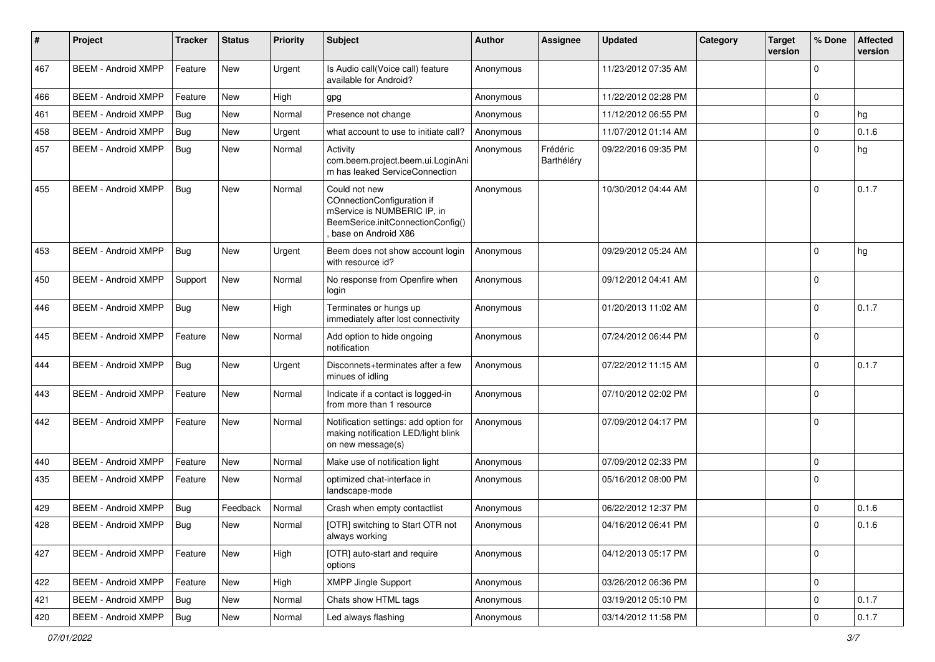| #   | Project                    | <b>Tracker</b> | <b>Status</b> | <b>Priority</b> | Subject                                                                                                                                | Author    | Assignee               | <b>Updated</b>      | Category | <b>Target</b><br>version | % Done      | <b>Affected</b><br>version |
|-----|----------------------------|----------------|---------------|-----------------|----------------------------------------------------------------------------------------------------------------------------------------|-----------|------------------------|---------------------|----------|--------------------------|-------------|----------------------------|
| 467 | <b>BEEM - Android XMPP</b> | Feature        | <b>New</b>    | Urgent          | Is Audio call(Voice call) feature<br>available for Android?                                                                            | Anonymous |                        | 11/23/2012 07:35 AM |          |                          | $\Omega$    |                            |
| 466 | <b>BEEM - Android XMPP</b> | Feature        | <b>New</b>    | High            | gpg                                                                                                                                    | Anonymous |                        | 11/22/2012 02:28 PM |          |                          | 0           |                            |
| 461 | <b>BEEM - Android XMPP</b> | Bug            | New           | Normal          | Presence not change                                                                                                                    | Anonymous |                        | 11/12/2012 06:55 PM |          |                          | $\mathbf 0$ | hg                         |
| 458 | <b>BEEM - Android XMPP</b> | Bug            | New           | Urgent          | what account to use to initiate call?                                                                                                  | Anonymous |                        | 11/07/2012 01:14 AM |          |                          | $\Omega$    | 0.1.6                      |
| 457 | <b>BEEM - Android XMPP</b> | <b>Bug</b>     | New           | Normal          | Activity<br>com.beem.project.beem.ui.LoginAni<br>m has leaked ServiceConnection                                                        | Anonymous | Frédéric<br>Barthéléry | 09/22/2016 09:35 PM |          |                          | $\Omega$    | hg                         |
| 455 | <b>BEEM - Android XMPP</b> | Bug            | <b>New</b>    | Normal          | Could not new<br>COnnectionConfiguration if<br>mService is NUMBERIC IP, in<br>BeemSerice.initConnectionConfig()<br>base on Android X86 | Anonymous |                        | 10/30/2012 04:44 AM |          |                          | $\Omega$    | 0.1.7                      |
| 453 | <b>BEEM - Android XMPP</b> | Bug            | <b>New</b>    | Urgent          | Beem does not show account login<br>with resource id?                                                                                  | Anonymous |                        | 09/29/2012 05:24 AM |          |                          | $\Omega$    | hg                         |
| 450 | <b>BEEM - Android XMPP</b> | Support        | <b>New</b>    | Normal          | No response from Openfire when<br>login                                                                                                | Anonymous |                        | 09/12/2012 04:41 AM |          |                          | $\Omega$    |                            |
| 446 | <b>BEEM - Android XMPP</b> | <b>Bug</b>     | New           | High            | Terminates or hungs up<br>immediately after lost connectivity                                                                          | Anonymous |                        | 01/20/2013 11:02 AM |          |                          | $\Omega$    | 0.1.7                      |
| 445 | <b>BEEM - Android XMPP</b> | Feature        | New           | Normal          | Add option to hide ongoing<br>notification                                                                                             | Anonymous |                        | 07/24/2012 06:44 PM |          |                          | $\mathbf 0$ |                            |
| 444 | <b>BEEM - Android XMPP</b> | <b>Bug</b>     | New           | Urgent          | Disconnets+terminates after a few<br>minues of idling                                                                                  | Anonymous |                        | 07/22/2012 11:15 AM |          |                          | $\Omega$    | 0.1.7                      |
| 443 | <b>BEEM - Android XMPP</b> | Feature        | <b>New</b>    | Normal          | Indicate if a contact is logged-in<br>from more than 1 resource                                                                        | Anonymous |                        | 07/10/2012 02:02 PM |          |                          | $\Omega$    |                            |
| 442 | <b>BEEM - Android XMPP</b> | Feature        | <b>New</b>    | Normal          | Notification settings: add option for<br>making notification LED/light blink<br>on new message(s)                                      | Anonymous |                        | 07/09/2012 04:17 PM |          |                          | $\Omega$    |                            |
| 440 | <b>BEEM - Android XMPP</b> | Feature        | New           | Normal          | Make use of notification light                                                                                                         | Anonymous |                        | 07/09/2012 02:33 PM |          |                          | $\mathbf 0$ |                            |
| 435 | <b>BEEM - Android XMPP</b> | Feature        | <b>New</b>    | Normal          | optimized chat-interface in<br>landscape-mode                                                                                          | Anonymous |                        | 05/16/2012 08:00 PM |          |                          | $\Omega$    |                            |
| 429 | <b>BEEM - Android XMPP</b> | Bug            | Feedback      | Normal          | Crash when empty contactlist                                                                                                           | Anonymous |                        | 06/22/2012 12:37 PM |          |                          | $\mathbf 0$ | 0.1.6                      |
| 428 | <b>BEEM - Android XMPP</b> | Bug            | <b>New</b>    | Normal          | [OTR] switching to Start OTR not<br>always working                                                                                     | Anonymous |                        | 04/16/2012 06:41 PM |          |                          | $\Omega$    | 0.1.6                      |
| 427 | <b>BEEM - Android XMPP</b> | Feature        | New           | High            | [OTR] auto-start and require<br>options                                                                                                | Anonymous |                        | 04/12/2013 05:17 PM |          |                          | $\mathbf 0$ |                            |
| 422 | <b>BEEM - Android XMPP</b> | Feature        | <b>New</b>    | High            | <b>XMPP Jingle Support</b>                                                                                                             | Anonymous |                        | 03/26/2012 06:36 PM |          |                          | $\mathbf 0$ |                            |
| 421 | <b>BEEM - Android XMPP</b> | <b>Bug</b>     | <b>New</b>    | Normal          | Chats show HTML tags                                                                                                                   | Anonymous |                        | 03/19/2012 05:10 PM |          |                          | $\pmb{0}$   | 0.1.7                      |
| 420 | <b>BEEM - Android XMPP</b> | <b>Bug</b>     | New           | Normal          | Led always flashing                                                                                                                    | Anonymous |                        | 03/14/2012 11:58 PM |          |                          | 0           | 0.1.7                      |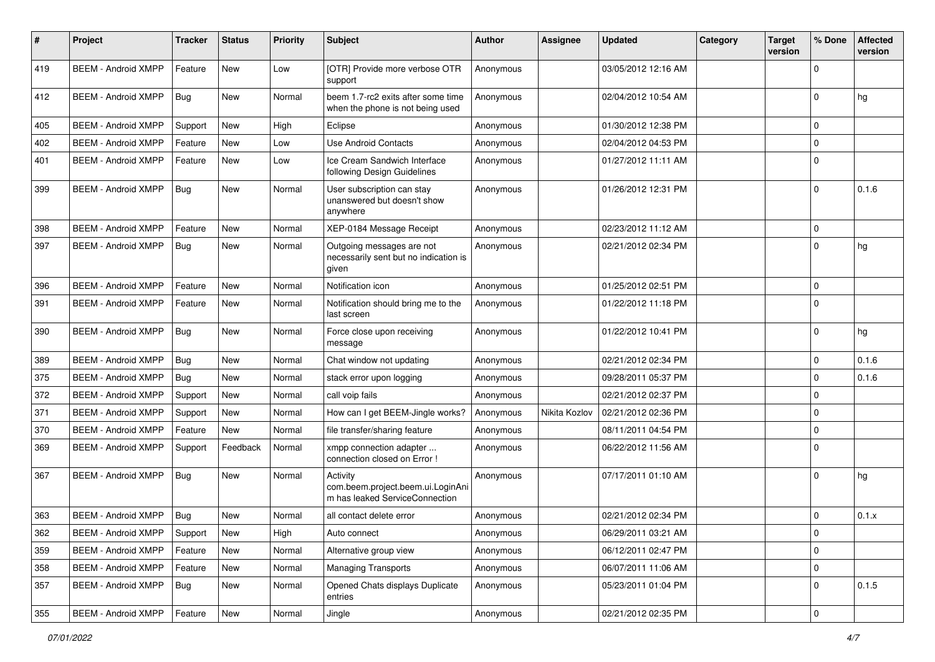| #   | Project                    | <b>Tracker</b> | <b>Status</b> | <b>Priority</b> | Subject                                                                         | Author    | Assignee      | <b>Updated</b>      | Category | <b>Target</b><br>version | % Done      | <b>Affected</b><br>version |
|-----|----------------------------|----------------|---------------|-----------------|---------------------------------------------------------------------------------|-----------|---------------|---------------------|----------|--------------------------|-------------|----------------------------|
| 419 | <b>BEEM - Android XMPP</b> | Feature        | <b>New</b>    | Low             | [OTR] Provide more verbose OTR<br>support                                       | Anonymous |               | 03/05/2012 12:16 AM |          |                          | $\Omega$    |                            |
| 412 | <b>BEEM - Android XMPP</b> | Bug            | New           | Normal          | beem 1.7-rc2 exits after some time<br>when the phone is not being used          | Anonymous |               | 02/04/2012 10:54 AM |          |                          | $\Omega$    | hg                         |
| 405 | <b>BEEM - Android XMPP</b> | Support        | <b>New</b>    | High            | Eclipse                                                                         | Anonymous |               | 01/30/2012 12:38 PM |          |                          | $\mathbf 0$ |                            |
| 402 | <b>BEEM - Android XMPP</b> | Feature        | New           | Low             | <b>Use Android Contacts</b>                                                     | Anonymous |               | 02/04/2012 04:53 PM |          |                          | $\mathbf 0$ |                            |
| 401 | <b>BEEM - Android XMPP</b> | Feature        | <b>New</b>    | Low             | Ice Cream Sandwich Interface<br>following Design Guidelines                     | Anonymous |               | 01/27/2012 11:11 AM |          |                          | $\Omega$    |                            |
| 399 | <b>BEEM - Android XMPP</b> | <b>Bug</b>     | New           | Normal          | User subscription can stay<br>unanswered but doesn't show<br>anywhere           | Anonymous |               | 01/26/2012 12:31 PM |          |                          | $\Omega$    | 0.1.6                      |
| 398 | <b>BEEM - Android XMPP</b> | Feature        | <b>New</b>    | Normal          | XEP-0184 Message Receipt                                                        | Anonymous |               | 02/23/2012 11:12 AM |          |                          | $\mathbf 0$ |                            |
| 397 | <b>BEEM - Android XMPP</b> | <b>Bug</b>     | New           | Normal          | Outgoing messages are not<br>necessarily sent but no indication is<br>given     | Anonymous |               | 02/21/2012 02:34 PM |          |                          | $\Omega$    | hg                         |
| 396 | <b>BEEM - Android XMPP</b> | Feature        | New           | Normal          | Notification icon                                                               | Anonymous |               | 01/25/2012 02:51 PM |          |                          | 0           |                            |
| 391 | <b>BEEM - Android XMPP</b> | Feature        | New           | Normal          | Notification should bring me to the<br>last screen                              | Anonymous |               | 01/22/2012 11:18 PM |          |                          | $\Omega$    |                            |
| 390 | <b>BEEM - Android XMPP</b> | <b>Bug</b>     | New           | Normal          | Force close upon receiving<br>message                                           | Anonymous |               | 01/22/2012 10:41 PM |          |                          | $\Omega$    | hg                         |
| 389 | <b>BEEM - Android XMPP</b> | Bug            | New           | Normal          | Chat window not updating                                                        | Anonymous |               | 02/21/2012 02:34 PM |          |                          | $\mathbf 0$ | 0.1.6                      |
| 375 | <b>BEEM - Android XMPP</b> | Bug            | New           | Normal          | stack error upon logging                                                        | Anonymous |               | 09/28/2011 05:37 PM |          |                          | $\Omega$    | 0.1.6                      |
| 372 | <b>BEEM - Android XMPP</b> | Support        | New           | Normal          | call voip fails                                                                 | Anonymous |               | 02/21/2012 02:37 PM |          |                          | $\Omega$    |                            |
| 371 | <b>BEEM - Android XMPP</b> | Support        | New           | Normal          | How can I get BEEM-Jingle works?                                                | Anonymous | Nikita Kozlov | 02/21/2012 02:36 PM |          |                          | $\mathbf 0$ |                            |
| 370 | <b>BEEM - Android XMPP</b> | Feature        | New           | Normal          | file transfer/sharing feature                                                   | Anonymous |               | 08/11/2011 04:54 PM |          |                          | $\mathbf 0$ |                            |
| 369 | <b>BEEM - Android XMPP</b> | Support        | Feedback      | Normal          | xmpp connection adapter<br>connection closed on Error !                         | Anonymous |               | 06/22/2012 11:56 AM |          |                          | $\Omega$    |                            |
| 367 | <b>BEEM - Android XMPP</b> | <b>Bug</b>     | New           | Normal          | Activity<br>com.beem.project.beem.ui.LoginAni<br>m has leaked ServiceConnection | Anonymous |               | 07/17/2011 01:10 AM |          |                          | $\Omega$    | hg                         |
| 363 | <b>BEEM - Android XMPP</b> | Bug            | <b>New</b>    | Normal          | all contact delete error                                                        | Anonymous |               | 02/21/2012 02:34 PM |          |                          | $\Omega$    | 0.1.x                      |
| 362 | <b>BEEM - Android XMPP</b> | Support        | New           | High            | Auto connect                                                                    | Anonymous |               | 06/29/2011 03:21 AM |          |                          | $\mathbf 0$ |                            |
| 359 | <b>BEEM - Android XMPP</b> | Feature        | New           | Normal          | Alternative group view                                                          | Anonymous |               | 06/12/2011 02:47 PM |          |                          | $\mathbf 0$ |                            |
| 358 | <b>BEEM - Android XMPP</b> | Feature        | New           | Normal          | <b>Managing Transports</b>                                                      | Anonymous |               | 06/07/2011 11:06 AM |          |                          | $\mathbf 0$ |                            |
| 357 | <b>BEEM - Android XMPP</b> | Bug            | <b>New</b>    | Normal          | Opened Chats displays Duplicate<br>entries                                      | Anonymous |               | 05/23/2011 01:04 PM |          |                          | 0           | 0.1.5                      |
| 355 | <b>BEEM - Android XMPP</b> | Feature        | New           | Normal          | Jingle                                                                          | Anonymous |               | 02/21/2012 02:35 PM |          |                          | $\pmb{0}$   |                            |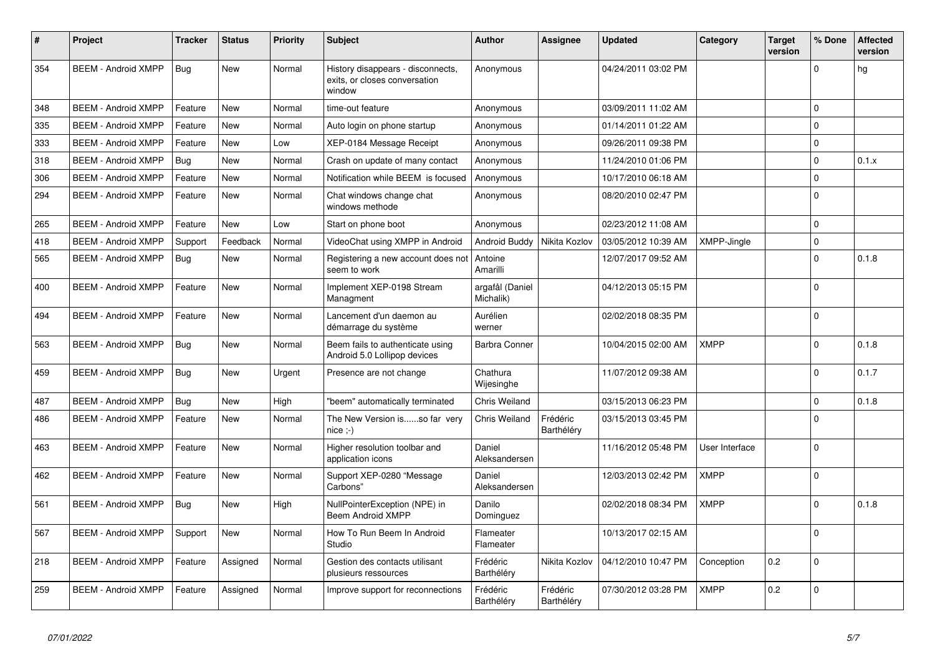| $\#$ | Project                    | <b>Tracker</b> | <b>Status</b> | <b>Priority</b> | <b>Subject</b>                                                               | Author                       | <b>Assignee</b>        | <b>Updated</b>      | Category           | Target<br>version | % Done      | <b>Affected</b><br>version |
|------|----------------------------|----------------|---------------|-----------------|------------------------------------------------------------------------------|------------------------------|------------------------|---------------------|--------------------|-------------------|-------------|----------------------------|
| 354  | <b>BEEM - Android XMPP</b> | Bug            | <b>New</b>    | Normal          | History disappears - disconnects,<br>exits, or closes conversation<br>window | Anonymous                    |                        | 04/24/2011 03:02 PM |                    |                   | $\Omega$    | hg                         |
| 348  | <b>BEEM - Android XMPP</b> | Feature        | <b>New</b>    | Normal          | time-out feature                                                             | Anonymous                    |                        | 03/09/2011 11:02 AM |                    |                   | $\Omega$    |                            |
| 335  | <b>BEEM - Android XMPP</b> | Feature        | New           | Normal          | Auto login on phone startup                                                  | Anonymous                    |                        | 01/14/2011 01:22 AM |                    |                   | $\mathbf 0$ |                            |
| 333  | <b>BEEM - Android XMPP</b> | Feature        | <b>New</b>    | Low             | XEP-0184 Message Receipt                                                     | Anonymous                    |                        | 09/26/2011 09:38 PM |                    |                   | $\mathbf 0$ |                            |
| 318  | <b>BEEM - Android XMPP</b> | Bug            | New           | Normal          | Crash on update of many contact                                              | Anonymous                    |                        | 11/24/2010 01:06 PM |                    |                   | $\Omega$    | 0.1.x                      |
| 306  | <b>BEEM - Android XMPP</b> | Feature        | <b>New</b>    | Normal          | Notification while BEEM is focused                                           | Anonymous                    |                        | 10/17/2010 06:18 AM |                    |                   | $\Omega$    |                            |
| 294  | <b>BEEM - Android XMPP</b> | Feature        | <b>New</b>    | Normal          | Chat windows change chat<br>windows methode                                  | Anonymous                    |                        | 08/20/2010 02:47 PM |                    |                   | $\Omega$    |                            |
| 265  | <b>BEEM - Android XMPP</b> | Feature        | <b>New</b>    | Low             | Start on phone boot                                                          | Anonymous                    |                        | 02/23/2012 11:08 AM |                    |                   | $\Omega$    |                            |
| 418  | <b>BEEM - Android XMPP</b> | Support        | Feedback      | Normal          | VideoChat using XMPP in Android                                              | Android Buddy                | Nikita Kozlov          | 03/05/2012 10:39 AM | <b>XMPP-Jingle</b> |                   | $\mathbf 0$ |                            |
| 565  | <b>BEEM - Android XMPP</b> | Bug            | <b>New</b>    | Normal          | Registering a new account does not<br>seem to work                           | Antoine<br>Amarilli          |                        | 12/07/2017 09:52 AM |                    |                   | $\mathbf 0$ | 0.1.8                      |
| 400  | <b>BEEM - Android XMPP</b> | Feature        | New           | Normal          | Implement XEP-0198 Stream<br>Managment                                       | argafål (Daniel<br>Michalik) |                        | 04/12/2013 05:15 PM |                    |                   | $\Omega$    |                            |
| 494  | <b>BEEM - Android XMPP</b> | Feature        | <b>New</b>    | Normal          | Lancement d'un daemon au<br>démarrage du système                             | Aurélien<br>werner           |                        | 02/02/2018 08:35 PM |                    |                   | $\Omega$    |                            |
| 563  | <b>BEEM - Android XMPP</b> | <b>Bug</b>     | <b>New</b>    | Normal          | Beem fails to authenticate using<br>Android 5.0 Lollipop devices             | <b>Barbra Conner</b>         |                        | 10/04/2015 02:00 AM | <b>XMPP</b>        |                   | $\Omega$    | 0.1.8                      |
| 459  | <b>BEEM - Android XMPP</b> | Bug            | <b>New</b>    | Urgent          | Presence are not change                                                      | Chathura<br>Wijesinghe       |                        | 11/07/2012 09:38 AM |                    |                   | $\Omega$    | 0.1.7                      |
| 487  | <b>BEEM - Android XMPP</b> | Bug            | New           | High            | "beem" automatically terminated                                              | <b>Chris Weiland</b>         |                        | 03/15/2013 06:23 PM |                    |                   | $\Omega$    | 0.1.8                      |
| 486  | <b>BEEM - Android XMPP</b> | Feature        | New           | Normal          | The New Version isso far very<br>nice ;-)                                    | <b>Chris Weiland</b>         | Frédéric<br>Barthéléry | 03/15/2013 03:45 PM |                    |                   | $\Omega$    |                            |
| 463  | <b>BEEM - Android XMPP</b> | Feature        | New           | Normal          | Higher resolution toolbar and<br>application icons                           | Daniel<br>Aleksandersen      |                        | 11/16/2012 05:48 PM | User Interface     |                   | $\Omega$    |                            |
| 462  | <b>BEEM - Android XMPP</b> | Feature        | <b>New</b>    | Normal          | Support XEP-0280 "Message<br>Carbons"                                        | Daniel<br>Aleksandersen      |                        | 12/03/2013 02:42 PM | <b>XMPP</b>        |                   | $\Omega$    |                            |
| 561  | <b>BEEM - Android XMPP</b> | <b>Bug</b>     | <b>New</b>    | High            | NullPointerException (NPE) in<br>Beem Android XMPP                           | Danilo<br>Dominguez          |                        | 02/02/2018 08:34 PM | <b>XMPP</b>        |                   | $\Omega$    | 0.1.8                      |
| 567  | <b>BEEM - Android XMPP</b> | Support        | <b>New</b>    | Normal          | How To Run Beem In Android<br>Studio                                         | Flameater<br>Flameater       |                        | 10/13/2017 02:15 AM |                    |                   | $\Omega$    |                            |
| 218  | <b>BEEM - Android XMPP</b> | Feature        | Assigned      | Normal          | Gestion des contacts utilisant<br>plusieurs ressources                       | Frédéric<br>Barthéléry       | Nikita Kozlov          | 04/12/2010 10:47 PM | Conception         | 0.2               | $\Omega$    |                            |
| 259  | <b>BEEM - Android XMPP</b> | Feature        | Assigned      | Normal          | Improve support for reconnections                                            | Frédéric<br>Barthéléry       | Frédéric<br>Barthéléry | 07/30/2012 03:28 PM | <b>XMPP</b>        | 0.2               | $\Omega$    |                            |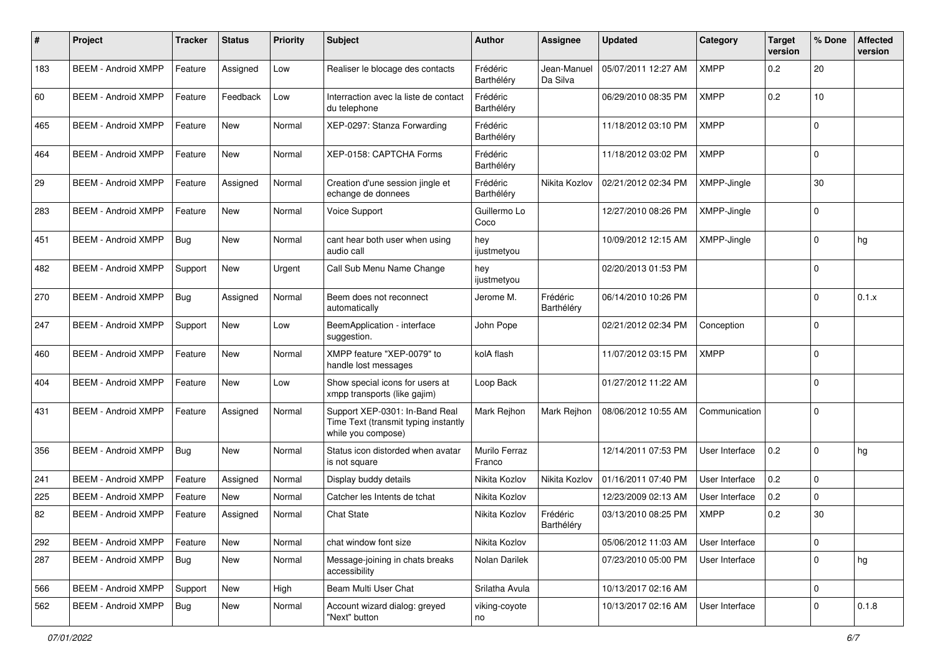| #   | Project                    | <b>Tracker</b> | <b>Status</b> | <b>Priority</b> | Subject                                                                                      | <b>Author</b>           | <b>Assignee</b>         | <b>Updated</b>      | Category       | <b>Target</b><br>version | % Done      | <b>Affected</b><br>version |
|-----|----------------------------|----------------|---------------|-----------------|----------------------------------------------------------------------------------------------|-------------------------|-------------------------|---------------------|----------------|--------------------------|-------------|----------------------------|
| 183 | <b>BEEM - Android XMPP</b> | Feature        | Assigned      | Low             | Realiser le blocage des contacts                                                             | Frédéric<br>Barthéléry  | Jean-Manuel<br>Da Silva | 05/07/2011 12:27 AM | <b>XMPP</b>    | 0.2                      | 20          |                            |
| 60  | <b>BEEM - Android XMPP</b> | Feature        | Feedback      | Low             | Interraction avec la liste de contact<br>du telephone                                        | Frédéric<br>Barthéléry  |                         | 06/29/2010 08:35 PM | <b>XMPP</b>    | 0.2                      | 10          |                            |
| 465 | <b>BEEM - Android XMPP</b> | Feature        | <b>New</b>    | Normal          | XEP-0297: Stanza Forwarding                                                                  | Frédéric<br>Barthéléry  |                         | 11/18/2012 03:10 PM | <b>XMPP</b>    |                          | $\Omega$    |                            |
| 464 | <b>BEEM - Android XMPP</b> | Feature        | <b>New</b>    | Normal          | XEP-0158: CAPTCHA Forms                                                                      | Frédéric<br>Barthéléry  |                         | 11/18/2012 03:02 PM | <b>XMPP</b>    |                          | $\Omega$    |                            |
| 29  | <b>BEEM - Android XMPP</b> | Feature        | Assigned      | Normal          | Creation d'une session jingle et<br>echange de donnees                                       | Frédéric<br>Barthéléry  | Nikita Kozlov           | 02/21/2012 02:34 PM | XMPP-Jingle    |                          | 30          |                            |
| 283 | <b>BEEM - Android XMPP</b> | Feature        | New           | Normal          | Voice Support                                                                                | Guillermo Lo<br>Coco    |                         | 12/27/2010 08:26 PM | XMPP-Jingle    |                          | $\Omega$    |                            |
| 451 | <b>BEEM - Android XMPP</b> | <b>Bug</b>     | New           | Normal          | cant hear both user when using<br>audio call                                                 | hey<br>ijustmetyou      |                         | 10/09/2012 12:15 AM | XMPP-Jingle    |                          | $\Omega$    | hg                         |
| 482 | <b>BEEM - Android XMPP</b> | Support        | New           | Urgent          | Call Sub Menu Name Change                                                                    | hey<br>ijustmetyou      |                         | 02/20/2013 01:53 PM |                |                          | $\Omega$    |                            |
| 270 | <b>BEEM - Android XMPP</b> | <b>Bug</b>     | Assigned      | Normal          | Beem does not reconnect<br>automatically                                                     | Jerome M.               | Frédéric<br>Barthéléry  | 06/14/2010 10:26 PM |                |                          | $\Omega$    | 0.1.x                      |
| 247 | <b>BEEM - Android XMPP</b> | Support        | <b>New</b>    | Low             | BeemApplication - interface<br>suggestion.                                                   | John Pope               |                         | 02/21/2012 02:34 PM | Conception     |                          | $\Omega$    |                            |
| 460 | <b>BEEM - Android XMPP</b> | Feature        | <b>New</b>    | Normal          | XMPP feature "XEP-0079" to<br>handle lost messages                                           | kolA flash              |                         | 11/07/2012 03:15 PM | <b>XMPP</b>    |                          | $\Omega$    |                            |
| 404 | <b>BEEM - Android XMPP</b> | Feature        | <b>New</b>    | Low             | Show special icons for users at<br>xmpp transports (like gajim)                              | Loop Back               |                         | 01/27/2012 11:22 AM |                |                          | $\Omega$    |                            |
| 431 | <b>BEEM - Android XMPP</b> | Feature        | Assigned      | Normal          | Support XEP-0301: In-Band Real<br>Time Text (transmit typing instantly<br>while you compose) | Mark Rejhon             | Mark Rejhon             | 08/06/2012 10:55 AM | Communication  |                          | $\Omega$    |                            |
| 356 | <b>BEEM - Android XMPP</b> | Bug            | <b>New</b>    | Normal          | Status icon distorded when avatar<br>is not square                                           | Murilo Ferraz<br>Franco |                         | 12/14/2011 07:53 PM | User Interface | 0.2                      | $\Omega$    | hg                         |
| 241 | <b>BEEM - Android XMPP</b> | Feature        | Assigned      | Normal          | Display buddy details                                                                        | Nikita Kozlov           | Nikita Kozlov           | 01/16/2011 07:40 PM | User Interface | 0.2                      | $\Omega$    |                            |
| 225 | <b>BEEM - Android XMPP</b> | Feature        | New           | Normal          | Catcher les Intents de tchat                                                                 | Nikita Kozlov           |                         | 12/23/2009 02:13 AM | User Interface | 0.2                      | $\Omega$    |                            |
| 82  | <b>BEEM - Android XMPP</b> | Feature        | Assigned      | Normal          | <b>Chat State</b>                                                                            | Nikita Kozlov           | Frédéric<br>Barthéléry  | 03/13/2010 08:25 PM | XMPP           | 0.2                      | 30          |                            |
| 292 | <b>BEEM - Android XMPP</b> | Feature        | <b>New</b>    | Normal          | chat window font size                                                                        | Nikita Kozlov           |                         | 05/06/2012 11:03 AM | User Interface |                          | $\mathbf 0$ |                            |
| 287 | <b>BEEM - Android XMPP</b> | <b>Bug</b>     | New           | Normal          | Message-joining in chats breaks<br>accessibility                                             | Nolan Darilek           |                         | 07/23/2010 05:00 PM | User Interface |                          | $\mathbf 0$ | hg                         |
| 566 | <b>BEEM - Android XMPP</b> | Support        | New           | High            | Beam Multi User Chat                                                                         | Srilatha Avula          |                         | 10/13/2017 02:16 AM |                |                          | $\mathbf 0$ |                            |
| 562 | <b>BEEM - Android XMPP</b> | <b>Bug</b>     | New           | Normal          | Account wizard dialog: greyed<br>"Next" button                                               | viking-coyote<br>no     |                         | 10/13/2017 02:16 AM | User Interface |                          | $\Omega$    | 0.1.8                      |